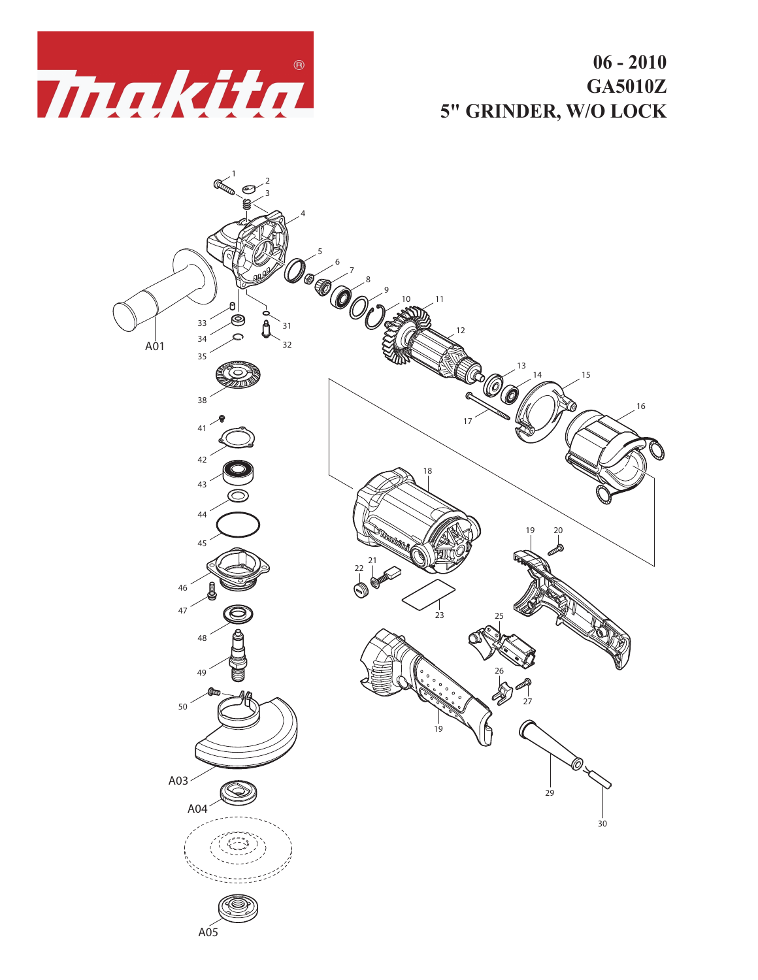

**06 - 2010 GA5010Z 5" GRINDER, W/O LOCK**

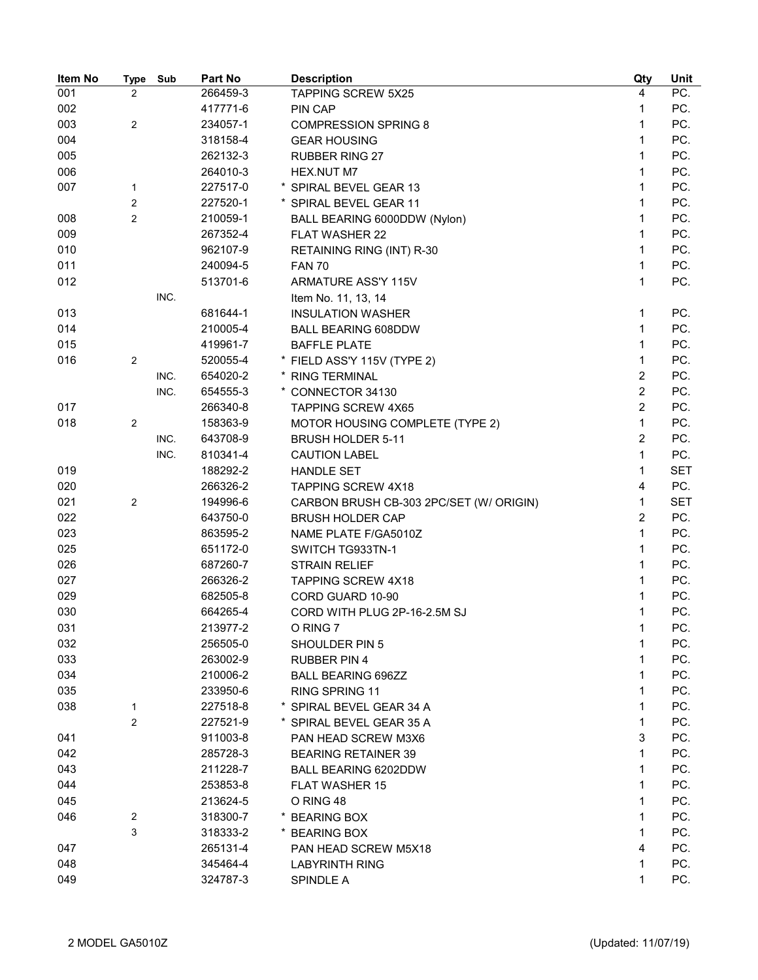| Item No | <b>Type</b>    | Sub  | Part No  | <b>Description</b>                      | Qty            | Unit       |
|---------|----------------|------|----------|-----------------------------------------|----------------|------------|
| 001     | $\overline{2}$ |      | 266459-3 | <b>TAPPING SCREW 5X25</b>               | 4              | PC.        |
| 002     |                |      | 417771-6 | PIN CAP                                 | 1              | PC.        |
| 003     | $\overline{2}$ |      | 234057-1 | <b>COMPRESSION SPRING 8</b>             | 1              | PC.        |
| 004     |                |      | 318158-4 | <b>GEAR HOUSING</b>                     | 1              | PC.        |
| 005     |                |      | 262132-3 | <b>RUBBER RING 27</b>                   | 1              | PC.        |
| 006     |                |      | 264010-3 | HEX.NUT M7                              | 1              | PC.        |
| 007     | 1              |      | 227517-0 | * SPIRAL BEVEL GEAR 13                  | 1              | PC.        |
|         | $\overline{2}$ |      | 227520-1 | * SPIRAL BEVEL GEAR 11                  | 1              | PC.        |
| 008     | $\overline{2}$ |      | 210059-1 | BALL BEARING 6000DDW (Nylon)            | 1              | PC.        |
| 009     |                |      | 267352-4 | <b>FLAT WASHER 22</b>                   | 1              | PC.        |
| 010     |                |      | 962107-9 | RETAINING RING (INT) R-30               | 1              | PC.        |
| 011     |                |      | 240094-5 | <b>FAN 70</b>                           | 1              | PC.        |
| 012     |                |      | 513701-6 | ARMATURE ASS'Y 115V                     | 1              | PC.        |
|         |                | INC. |          | Item No. 11, 13, 14                     |                |            |
| 013     |                |      | 681644-1 | <b>INSULATION WASHER</b>                | 1              | PC.        |
| 014     |                |      | 210005-4 | <b>BALL BEARING 608DDW</b>              | 1              | PC.        |
| 015     |                |      | 419961-7 | <b>BAFFLE PLATE</b>                     | 1              | PC.        |
| 016     | $\overline{2}$ |      | 520055-4 | * FIELD ASS'Y 115V (TYPE 2)             | 1              | PC.        |
|         |                | INC. | 654020-2 | * RING TERMINAL                         | $\overline{2}$ | PC.        |
|         |                | INC. | 654555-3 | * CONNECTOR 34130                       | $\overline{c}$ | PC.        |
| 017     |                |      | 266340-8 | <b>TAPPING SCREW 4X65</b>               | $\overline{2}$ | PC.        |
| 018     | $\overline{c}$ |      | 158363-9 | MOTOR HOUSING COMPLETE (TYPE 2)         | $\mathbf{1}$   | PC.        |
|         |                | INC. | 643708-9 | <b>BRUSH HOLDER 5-11</b>                | $\overline{2}$ | PC.        |
|         |                | INC. | 810341-4 | <b>CAUTION LABEL</b>                    | 1              | PC.        |
| 019     |                |      | 188292-2 | <b>HANDLE SET</b>                       | 1              | <b>SET</b> |
| 020     |                |      | 266326-2 | <b>TAPPING SCREW 4X18</b>               | 4              | PC.        |
| 021     | $\overline{2}$ |      | 194996-6 | CARBON BRUSH CB-303 2PC/SET (W/ ORIGIN) | 1              | <b>SET</b> |
| 022     |                |      | 643750-0 | <b>BRUSH HOLDER CAP</b>                 | $\overline{c}$ | PC.        |
| 023     |                |      | 863595-2 | NAME PLATE F/GA5010Z                    | 1              | PC.        |
| 025     |                |      | 651172-0 | SWITCH TG933TN-1                        | 1              | PC.        |
| 026     |                |      | 687260-7 | <b>STRAIN RELIEF</b>                    | 1              | PC.        |
| 027     |                |      | 266326-2 | <b>TAPPING SCREW 4X18</b>               | 1              | PC.        |
| 029     |                |      | 682505-8 | CORD GUARD 10-90                        | 1              | PC.        |
| 030     |                |      | 664265-4 | CORD WITH PLUG 2P-16-2.5M SJ            | 1              | PC.        |
| 031     |                |      | 213977-2 | O RING 7                                | 1              | PC.        |
| 032     |                |      | 256505-0 | SHOULDER PIN 5                          | 1              | PC.        |
| 033     |                |      | 263002-9 | <b>RUBBER PIN 4</b>                     | 1              | PC.        |
| 034     |                |      | 210006-2 | <b>BALL BEARING 696ZZ</b>               | 1              | PC.        |
| 035     |                |      | 233950-6 | <b>RING SPRING 11</b>                   | 1              | PC.        |
| 038     | 1              |      | 227518-8 | * SPIRAL BEVEL GEAR 34 A                | 1              | PC.        |
|         | $\overline{2}$ |      | 227521-9 | * SPIRAL BEVEL GEAR 35 A                | 1              | PC.        |
| 041     |                |      | 911003-8 | PAN HEAD SCREW M3X6                     | 3              | PC.        |
| 042     |                |      | 285728-3 | <b>BEARING RETAINER 39</b>              | 1              | PC.        |
| 043     |                |      | 211228-7 | BALL BEARING 6202DDW                    | 1              | PC.        |
| 044     |                |      | 253853-8 | <b>FLAT WASHER 15</b>                   | 1              | PC.        |
| 045     |                |      | 213624-5 | O RING 48                               | 1              | PC.        |
| 046     | 2              |      | 318300-7 | * BEARING BOX                           | 1              | PC.        |
|         | 3              |      | 318333-2 | <b>BEARING BOX</b>                      | 1              | PC.        |
| 047     |                |      | 265131-4 | PAN HEAD SCREW M5X18                    | 4              | PC.        |
| 048     |                |      | 345464-4 | <b>LABYRINTH RING</b>                   | 1              | PC.        |
| 049     |                |      | 324787-3 | SPINDLE A                               | 1              | PC.        |
|         |                |      |          |                                         |                |            |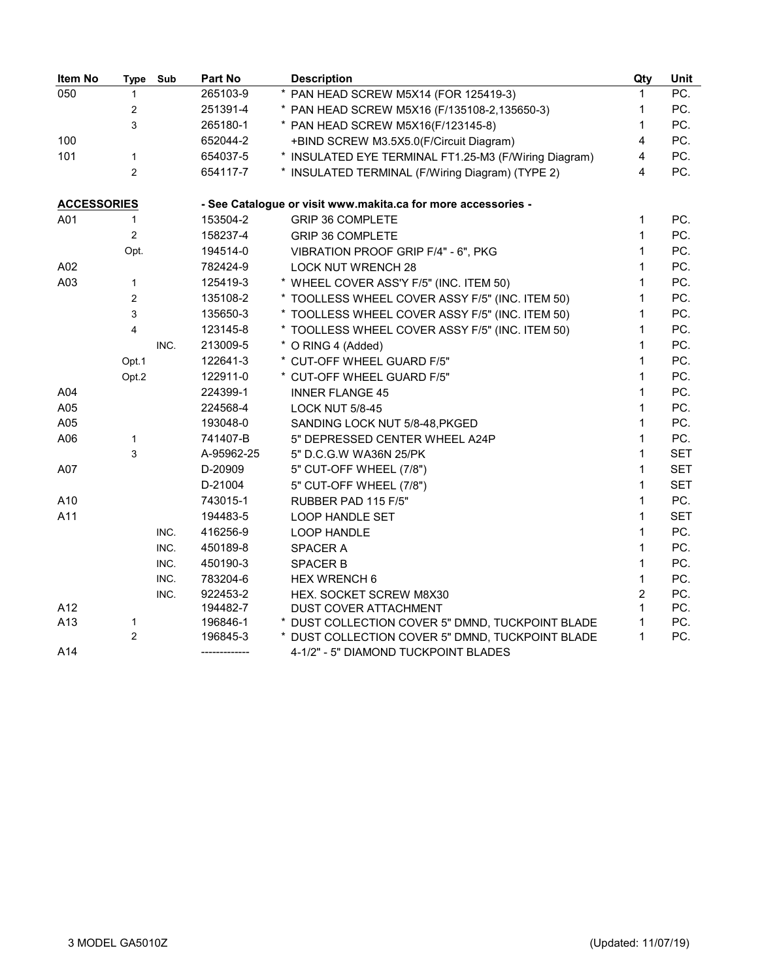| Item No            | <b>Type</b>             | Sub  | Part No       | <b>Description</b>                                            | Qty            | Unit       |
|--------------------|-------------------------|------|---------------|---------------------------------------------------------------|----------------|------------|
| 050                | $\mathbf{1}$            |      | 265103-9      | * PAN HEAD SCREW M5X14 (FOR 125419-3)                         |                | PC.        |
|                    | $\overline{2}$          |      | 251391-4      | * PAN HEAD SCREW M5X16 (F/135108-2,135650-3)                  | 1              | PC.        |
|                    | 3                       |      | 265180-1      | * PAN HEAD SCREW M5X16(F/123145-8)                            | 1              | PC.        |
| 100                |                         |      | 652044-2      | +BIND SCREW M3.5X5.0(F/Circuit Diagram)                       | 4              | PC.        |
| 101                | $\mathbf{1}$            |      | 654037-5      | * INSULATED EYE TERMINAL FT1.25-M3 (F/Wiring Diagram)         | 4              | PC.        |
|                    | $\overline{2}$          |      | 654117-7      | * INSULATED TERMINAL (F/Wiring Diagram) (TYPE 2)              | 4              | PC.        |
| <b>ACCESSORIES</b> |                         |      |               | - See Catalogue or visit www.makita.ca for more accessories - |                |            |
| A01                | $\mathbf{1}$            |      | 153504-2      | <b>GRIP 36 COMPLETE</b>                                       | $\mathbf{1}$   | PC.        |
|                    | $\overline{2}$          |      | 158237-4      | <b>GRIP 36 COMPLETE</b>                                       | $\mathbf{1}$   | PC.        |
|                    | Opt.                    |      | 194514-0      | VIBRATION PROOF GRIP F/4" - 6", PKG                           | $\mathbf{1}$   | PC.        |
| A02                |                         |      | 782424-9      | <b>LOCK NUT WRENCH 28</b>                                     | $\mathbf{1}$   | PC.        |
| A03                | $\mathbf{1}$            |      | 125419-3      | * WHEEL COVER ASS'Y F/5" (INC. ITEM 50)                       | $\mathbf{1}$   | PC.        |
|                    | $\overline{2}$          |      | 135108-2      | * TOOLLESS WHEEL COVER ASSY F/5" (INC. ITEM 50)               | $\mathbf{1}$   | PC.        |
|                    | 3                       |      | 135650-3      | * TOOLLESS WHEEL COVER ASSY F/5" (INC. ITEM 50)               | $\mathbf{1}$   | PC.        |
|                    | $\overline{\mathbf{4}}$ |      | 123145-8      | * TOOLLESS WHEEL COVER ASSY F/5" (INC. ITEM 50)               | 1              | PC.        |
|                    |                         | INC. | 213009-5      | * O RING 4 (Added)                                            | $\mathbf{1}$   | PC.        |
|                    | Opt.1                   |      | 122641-3      | * CUT-OFF WHEEL GUARD F/5"                                    | $\mathbf{1}$   | PC.        |
|                    | Opt.2                   |      | 122911-0      | * CUT-OFF WHEEL GUARD F/5"                                    | $\mathbf{1}$   | PC.        |
| A04                |                         |      | 224399-1      | <b>INNER FLANGE 45</b>                                        | $\mathbf{1}$   | PC.        |
| A05                |                         |      | 224568-4      | <b>LOCK NUT 5/8-45</b>                                        | $\mathbf{1}$   | PC.        |
| A05                |                         |      | 193048-0      | SANDING LOCK NUT 5/8-48, PKGED                                | $\mathbf{1}$   | PC.        |
| A06                | $\mathbf{1}$            |      | 741407-B      | 5" DEPRESSED CENTER WHEEL A24P                                | $\mathbf{1}$   | PC.        |
|                    | 3                       |      | A-95962-25    | 5" D.C.G.W WA36N 25/PK                                        | $\mathbf{1}$   | <b>SET</b> |
| A07                |                         |      | D-20909       | 5" CUT-OFF WHEEL (7/8")                                       | $\mathbf{1}$   | <b>SET</b> |
|                    |                         |      | D-21004       | 5" CUT-OFF WHEEL (7/8")                                       | $\mathbf{1}$   | <b>SET</b> |
| A10                |                         |      | 743015-1      | RUBBER PAD 115 F/5"                                           | $\mathbf{1}$   | PC.        |
| A11                |                         |      | 194483-5      | <b>LOOP HANDLE SET</b>                                        | $\mathbf{1}$   | <b>SET</b> |
|                    |                         | INC. | 416256-9      | <b>LOOP HANDLE</b>                                            | $\mathbf{1}$   | PC.        |
|                    |                         | INC. | 450189-8      | SPACER A                                                      | $\mathbf{1}$   | PC.        |
|                    |                         | INC. | 450190-3      | <b>SPACER B</b>                                               | $\mathbf{1}$   | PC.        |
|                    |                         | INC. | 783204-6      | HEX WRENCH 6                                                  | $\mathbf{1}$   | PC.        |
|                    |                         | INC. | 922453-2      | HEX. SOCKET SCREW M8X30                                       | $\overline{2}$ | PC.        |
| A12                |                         |      | 194482-7      | DUST COVER ATTACHMENT                                         | 1              | PC.        |
| A13                | 1                       |      | 196846-1      | * DUST COLLECTION COVER 5" DMND, TUCKPOINT BLADE              | 1              | PC.        |
|                    | $\overline{2}$          |      | 196845-3      | * DUST COLLECTION COVER 5" DMND, TUCKPOINT BLADE              | 1              | PC.        |
| A14                |                         |      | ------------- | 4-1/2" - 5" DIAMOND TUCKPOINT BLADES                          |                |            |